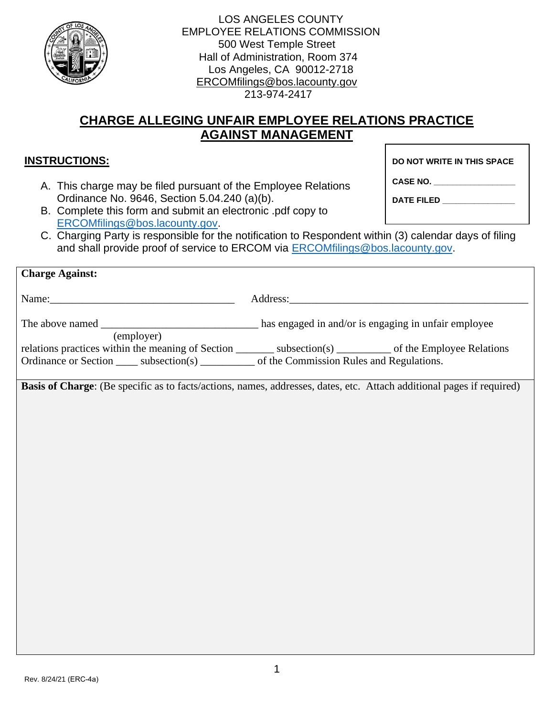

LOS ANGELES COUNTY EMPLOYEE RELATIONS COMMISSION 500 West Temple Street Hall of Administration, Room 374 Los Angeles, CA 90012-2718 [ERCOMfilings@bos.lacounty.gov](mailto:ERCOMfilings@bos.lacounty.gov)  213-974-2417

## **CHARGE ALLEGING UNFAIR EMPLOYEE RELATIONS PRACTICE AGAINST MANAGEMENT**

## **INSTRUCTIONS:**

A. This charge may be filed pursuant of the Employee Relations Ordinance No. 9646, Section 5.04.240 (a)(b).

**DO NOT WRITE IN THIS SPACE**

**CASE NO. \_\_\_\_\_\_\_\_\_\_\_\_\_\_\_\_\_\_**

**DATE FILED \_\_\_\_\_\_\_\_\_\_\_\_\_\_\_\_**

- B. Complete this form and submit an electronic .pdf copy to [ERCOMfilings@bos.lacounty.gov.](mailto:ERCOMfilings@bos.lacounty.gov)
- C. Charging Party is responsible for the notification to Respondent within (3) calendar days of filing and shall provide proof of service to ERCOM via **ERCOMfilings@bos.lacounty.gov.**

| <b>Charge Against:</b>                                                                                                                                                                                                          |
|---------------------------------------------------------------------------------------------------------------------------------------------------------------------------------------------------------------------------------|
|                                                                                                                                                                                                                                 |
| (employer)<br>relations practices within the meaning of Section __________ subsection(s) __________ of the Employee Relations<br>Ordinance or Section ______ subsection(s) ___________ of the Commission Rules and Regulations. |
| Basis of Charge: (Be specific as to facts/actions, names, addresses, dates, etc. Attach additional pages if required)                                                                                                           |
|                                                                                                                                                                                                                                 |
|                                                                                                                                                                                                                                 |
|                                                                                                                                                                                                                                 |
|                                                                                                                                                                                                                                 |
|                                                                                                                                                                                                                                 |
|                                                                                                                                                                                                                                 |
|                                                                                                                                                                                                                                 |
|                                                                                                                                                                                                                                 |
|                                                                                                                                                                                                                                 |
|                                                                                                                                                                                                                                 |